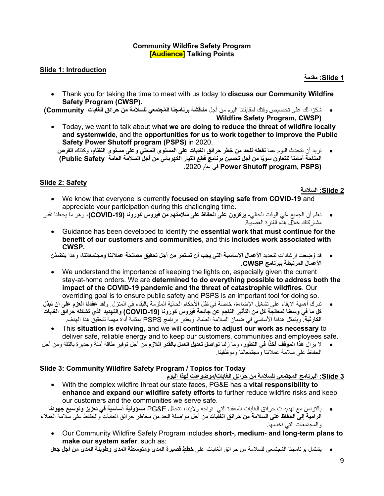#### **Community Wildfire Safety Program [Audience] Talking Points**

#### **Slide 1: Introduction**

**1 Slide: مقدمة** 

- Thank you for taking the time to meet with us today to **discuss our Community Wildfire Safety Program (CWSP).**
- ً شكرا لك على تخصیص وقتك لمقابلتنا الیوم من أجل **ُ مناقشة برنامجنا المجتمعي للسلامة من حرائق الغابات Community( Wildfire Safety Program, CWSP)**
	- Today, we want to talk about w**hat we are doing to reduce the threat of wildfire locally and systemwide**, and the **opportunities for us to work together to improve the Public Safety Power Shutoff program (PSPS)** in 2020.
		- نرید أن نتحدث الیوم عما **نفعلھ للحد من خطر حرائق الغابات على المستوى المحلي وعلى مستوى النظام**، وكذلك **الفرص ًا من أجل تحسین برنامج قطع التیار الكھربائي من أجل السلامة العامة Safety Public( المتاحة أمامنا للتعاون سوی** .2020 عام في **Power Shutoff program, PSPS)**

## **Slide 2: Safety**

**2 Slide: السلامة** 

- We know that everyone is currently **focused on staying safe from COVID-19** and appreciate your participation during this challenging time.
- نعلم أن الجمیع في الوقت الحالي- **یركزون على الحفاظ على سلامتھم من فیروس كورونا (-19COVID(**، وھو ما یجعلنا نقدر مشاركتك خلال ھذه الفترة العصیبة .
	- Guidance has been developed to identify the **essential work that must continue for the benefit of our customers and communities**, and this **includes work associated with CWSP.**
	- ُ قد و ِضعت إرشادات لتحدید **الأعمال الأساسیة التي یجب أن تستمر من أجل تحقیق مصلحة عملائنا ومجتمعاتنا**، وھذا **َّ یتضمن الأعمال المرتبطة ببرنامج CWSP.**
	- We understand the importance of keeping the lights on, especially given the current stay-at-home orders. We are **determined to do everything possible to address both the impact of the COVID-19 pandemic and the threat of catastrophic wildfires**. Our overriding goal is to ensure public safety and PSPS is an important tool for doing so.
- ندرك أھمیة الإبقاء على تشغیل الإضاءة، خاصة في ظل الأحكام الحالیة الملزمة بالبقاء في المنزل . ولقد **عقدنا العزم على أن نبذل كل ما في وسعنا لمعالجة كل من التأثیر الناجم عن جائحة فیروس كورونا (-19COVID (والتھدید الذي تشكلھ حرائق الغابات الكارثیة**. ویتمثل ھدفنا الأساسي في ضمان السلامة العامة، ویعتبر برنامج PSPS بمثابة أداة مھمة لتحقیق ھذا الھدف .

• This **situation is evolving**, and we will **continue to adjust our work as necessary** to deliver safe, reliable energy and to keep our customers, communities and employees safe.

**ًا في التطور**، وما زلنا **نواصل تعدیل العمل بالقدر اللازم** من أجل توفیر طاقة آمنة وجدیرة بالثقة ومن أجل • لا یزال **ھذا الموقف آخذ** الحفاظ على سلامة عملائنا ومجتمعاتنا وموظفینا.

## **Slide 3: Community Wildfire Safety Program / Topics for Today**

## **3 Slide: البرنامج المجتمعي للسلامة من حرائق الغابات/موضوعات لھذا الیوم**

- With the complex wildfire threat our state faces, PG&E has a **vital responsibility to enhance and expand our wildfire safety efforts** to further reduce wildfire risks and keep our customers and the communities we serve safe.
- بالتزامن مع تھدیدات حرائق الغابات المعقدة التي تواجھ ولایتنا َّ ، تتحمل E&PG **مسؤولیة أساسیة في تعزیز وتوسیع جھودنا الرامیة إلى الحفاظ على السلامة من حرائق الغابات** من أجل مواصلة الحد من مخاطر حرائق الغابات والحفاظ على سلامة العملاء والمجتمعات التي نخدمھا.
	- Our Community Wildfire Safety Program includes **short-, medium- and long-term plans to make our system safer**, such as:

• ُ یشتمل برنامجنا المجتمعي للسلامة من حرائق الغابات على **ٍ خطط قصیرة المدى ومتوسطة المدى وطویلة المدى من أجل جعل**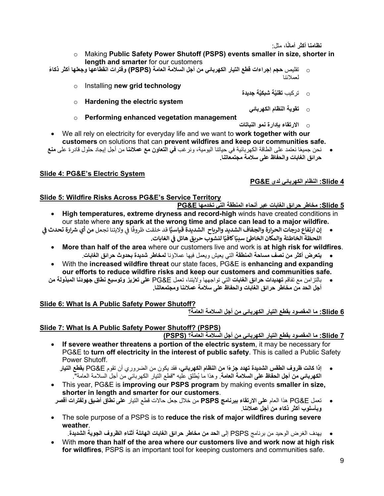<mark>نظامنا أكثر أمانًا،</mark> مثل:

- o Making **Public Safety Power Shutoff (PSPS) events smaller in size, shorter in length and smarter** for our customers
- o تقلیص **حجم إجراءات قطع التیار الكھربائي من أجل السلامة العامة ( PSPS (ً وفترات انقطاعھا وجعلھا أكثر ذكاء** لعملائنا
	- o Installing **new grid technology**
	- **َّة جدیدة َّة شبكی** o تركیب **تقنی** o **Hardening the electric system** o **تقویة النظام الكھربائي**
	- o **Performing enhanced vegetation management** 
		- o **الارتقاء بإدارة نمو النباتات**
- We all rely on electricity for everyday life and we want to **work together with our customers** on solutions that can **prevent wildfires and keep our communities safe.**
- ًا نعتمد على الطاقة الكھربائیة في حیاتنا الیومیة، ونرغب **في التعاون مع عملائنا** من أجل إیجاد حلول قادرة على **منع**  نحن جمیع **حرائق الغابات والحفاظ على سلامة مجتمعاتنا.**

## **Slide 4: PG&E's Electric System**

## **4 Slide: النظام الكھربائي لدى E&PG**

## **Slide 5: Wildfire Risks Across PG&E's Service Territory**

- **5 Slide: مخاطر حرائق الغابات عبر أنحاء المنطقة التي تخدمھا E&PG**
- **High temperatures, extreme dryness and record-high** winds have created conditions in our state where **any spark at the wrong time and place can lead to a major wildfire.**
- ي our state where **any spark at the wrong time and place can lead to a major whame.**<br>• إن ارتفاع درجات الحرارة والجفاف الشديد والرياح الشديدة قياسيًّا قد خلقت ظروفًا في ولايتنا تجعل من أي شرارة تحدث في **فث**ا<br>اللحظة الخاطئة والمكان الخاطئ سببًا كافيًا لنشوب حريق هائل في الغابات. **ف**
	- **More than half of the area** where our customers live and work is **at high risk for wildfires**. • **یتعرض أكثر من نصف مساحة المنطقة** التي یعیش ویعمل فیھا عملاؤنا **لمخاطر شدیدة بحدوث حرائق الغابات** .
	- With the **increased wildfire threat** our state faces, PG&E is **enhancing and expanding our efforts to reduce wildfire risks and keep our customers and communities safe.**
	- بالتزامن مع تفاقم **تھدیدات حرائق الغابات** التي تواجھھا ولایتنا، تعمل E&PG **على تعزیز وتوسیع نطاق جھودنا المبذولة من أجل الحد من مخاطر حرائق الغابات والحفاظ على سلامة عملائنا ومجتمعاتنا .**

# **Slide 6: What Is A Public Safety Power Shutoff?**

**6 Slide: ما المقصود بقطع التیار الكھربائي من أجل السلامة العامة؟**

# **Slide 7: What Is A Public Safety Power Shutoff? (PSPS)**

**7 Slide: ما المقصود بقطع التیار الكھربائي من أجل السلامة العامة؟ (PSPS (**

- **If severe weather threatens a portion of the electric system**, it may be necessary for PG&E to **turn off electricity in the interest of public safety**. This is called a Public Safety Power Shutoff.
	- **إذا كانت ً ظروف الطقس الشدیدة تھدد جزءا من النظام الكھربائي**، فقد یكون من الضروري أن تقوم E&PG **بقطع التیار**  ا**لكهربائ***ي* **من اجل الحفاظ على السلامة العامة**. وهذا ما يُطلق عليه "قطع النيار الكهربائي من أجل السلامة العامة".
- This year, PG&E is **improving our PSPS program** by making events **smaller in size, shorter in length and smarter for our customers**.
- تعمل E&PG ھذا العام **على الارتقاء ببرنامج PSPS** من خلال جعل حالات قطع التیار **على نطاق أضیق ولفترات أقصر وبأسلوب أكثر ذكاء من أجل عملائنا**.
- The sole purpose of a PSPS is to **reduce the risk of major wildfires during severe weather**.
	- یھدف الغرض الوحید من برنامج PSPS إلى **الحد من مخاطر حرائق الغابات الھائلة أثناء الظروف الجویة الشدیدة**.
- With **more than half of the area where our customers live and work now at high risk for wildfires**, PSPS is an important tool for keeping customers and communities safe.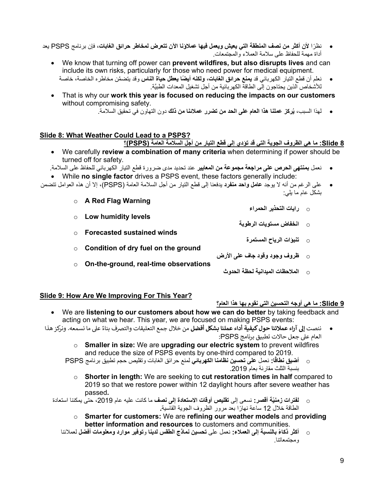- ً نظرا **لأن أكثر من نصف المنطقة التي یعیش ویعمل فیھا عملاؤنا الآن تتعرض لمخاطر حرائق الغابات**، فإن برنامج PSPS یعد أداة مھمة للحفاظ على سلامة العملاء والمجتمعات .
	- We know that turning off power can **prevent wildfires, but also disrupts lives** and can include its own risks, particularly for those who need power for medical equipment.
		- نعلم أن قطع التیار الكھربائي قد **ً یمنع حرائق الغابات، ولكنھ أیضا یعطل حیاة الناس** َّ وقد یتضمن مخاطره الخاصة، خا صة َّ للأشخاص الذین یحتاجون إلى الطاقة الكھربائیة من أجل تشغیل المعدات الطبیة.
	- That is why our **work this year is focused on reducing the impacts on our customers** without compromising safety.
		- **ُركز عملنا ھذا العام على الحد من تضرر عملائنا من ذلك** دون التھاون في تحقیق السلامة. لھذا السبب، **ی**

## **Slide 8: What Weather Could Lead to a PSPS?**

#### **8 Slide: ما ھي الظروف الجویة التي قد تؤدي إلى قطع التیار من أجل السلامة العامة (PSPS(؟**

- We carefully **review a combination of many criteria** when determining if power should be turned off for safety.
- نعمل **بمنتھى الحرص على مراجعة مجموعة من المعاییر** عند تحدید مدى ضرورة قطع التیار الكھربائي للحفاظ على السلامة. • While **no single factor** drives a PSPS event, these factors generally include:
- على الرغم من أنھ لا یوجد **عامل واحد منفرد** یدفعنا إلى قطع التیار من أجل السلامة العامة (PSPS(، إلا أن ھذه العوامل تتضمن بشكل عام ما یلي:
	- o **A Red Flag Warning**
	- o **Low humidity levels** o **انخفاض مستویات الرطوبة**
	- o **Forecasted sustained winds**
	- o **Condition of dry fuel on the ground**
	- o **On-the-ground, real-time observations**
- o **ظروف وجود وقود جاف على الأرض** 
	- o **الملاحظات المیدانیة لحظة الحدوث**

## **Slide 9: How Are We Improving For This Year?**

## **9 Slide: ما ھي أوجھ التحسین التي نقوم بھا ھذا العام؟**

o **رایات التحذیر الحمراء** 

o **تنبؤات الریاح المستمرة** 

- We are **listening to our customers about how we can do better** by taking feedback and acting on what we hear. This year, we are focused on making PSPS events:
- ننصت إلى آراء عملائنا حول كيفية أداء عملنا بشكل أفضل من خلال جمع التعليقات والتصرف بناءً على ما نسمعه. ونركز هذا العام ع� جعل حالات تطبيق برنامج PSPS:
	- o **Smaller in size:** We are **upgrading our electric system** to prevent wildfires and reduce the size of PSPS events by one-third compared to 2019.
	- **ًا :** نعمل **على تحسین نظامنا الكھربائي** لمنع حرائق الغابات وتقلیص حجم تطبیق برنامج PSPS o **أضیق نطاق** بنسبة الثلث مقارنة بعام .2019
		- o **Shorter in length:** We are seeking to **cut restoration times in half** compared to 2019 so that we restore power within 12 daylight hours after severe weather has passed**.**
	- **ّة أقصر :** نسعى إلى **تقلیص أوقات الاستعادة إلى نصف** ما كانت علیھ عام ،2019 حتى یمكننا استعادة o **لفترات زمنی** الطاقة خلال 12 ً ساعة نھارا بعد مرور الظروف الجویة القاسیة **.** 
		- o **Smarter for customers:** We are **refining our weather models** and **providing better information and resources** to customers and communities.
		- o **ً أكثر ذكاء بالنسبة إلى العملاء :** نعمل على **تحسین نماذج الطقس لدینا** و**توفیر موارد ومعلومات أفضل** لعملائنا ومجتمعاتنا.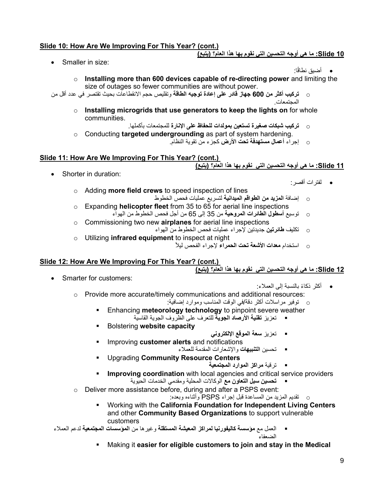## **Slide 10: How Are We Improving For This Year? (cont.)**

## **10 Slide: ما ھي أوجھ التحسین التي نقوم بھا ھذا العام؟ (یتبع)**

• Smaller in size:

- ًا : أضیق نطاق
- o **Installing more than 600 devices capable of re-directing power** and limiting the size of outages so fewer communities are without power.
- o **تركیب أكثر من 600 جھاز قادر على إعادة توجیھ الطاقة** وتقلیص حجم الانقطاعات بحیث تقتصر في عدد أقل من المجتمعات.
	- o **Installing microgrids that use generators to keep the lights on** for whole communities.
	- o **تركیب شبكات صغیرة تستعین بمولدات للحفاظ على الإنارة** للمجتمعات بأكملھا. o Conducting **targeted undergrounding** as part of system hardening.
		- o إجراء **أعمال مستھدفة تحت الأرض** كجزء من تقویة النظام.

## **Slide 11: How Are We Improving For This Year? (cont.)**

## **11 Slide: ما ھي أوجھ التحسین التي نقوم بھا ھذا العام؟ (یتبع )**

• Shorter in duration:

- لفترات أقصر :
- o Adding **more field crews** to speed inspection of lines
- o إضافة **المزید من الطواقم المیدانیة** لتسریع عملیات فحص الخطوط o Expanding **helicopter fleet** from 35 to 65 for aerial line inspections o توسیع **أسطول الطائرات المروحیة** من 35 إلى 65 من أجل فحص الخطوط من الھواء
- o Commissioning two new **airplanes** for aerial line inspections
	- o تكلیف **طائرتین** جدیدتین لإجراء عملیات فحص الخطوط من الھواء
- o Utilizing **infrared equipment** to inspect at night
	- ً o استخدام **معدات الأشعة تحت الحمراء** لإجراء الفحص لیلا

## **Slide 12: How Are We Improving For This Year? (cont.)**

**12 Slide: ما ھي أوجھ التحسین التي نقوم بھا ھذا العام؟ (یتبع )** 

• Smarter for customers:

- ً أكثر ذكاء بالنسبة إلى العملاء:
- o Provide more accurate/timely communications and additional resources:
	- o توفیر مراسلات أكثر دقة/ في الوقت المناسب وموارد إضافیة :
	- **Enhancing meteorology technology** to pinpoint severe weather
		- تعزیز **تقنیة الأرصاد الجویة** للتعرف على الظروف الجویة القاسیة
	- Bolstering **website capacity**
- تعزیز **سعة الموقع الإلكتروني**
- Improving **customer alerts** and notifications تحسین **التنبیھات** والإشعارات المقدمة للعملاء
- Upgrading **Community Resource Centers**
	- ترقیة **مراكز الموارد المجتمعیة**
- **Improving coordination** with local agencies and critical service providers **تحسین سبل التعاون مع** الوكالات المحلیة ومقدمي الخدمات الحیویة
- o Deliver more assistance before, during and after a PSPS event:
	- o تقدیم المزید من المساعدة قبل إجراء PSPS وأثناءه وبعده :
	- Working with the **California Foundation for Independent Living Centers**  and other **Community Based Organizations** to support vulnerable customers

 العمل مع **مؤسسة كالیفورنیا لمراكز المعیشة المستقلة** وغیرھا من **المؤسسات المجتمعیة** لدعم العملاء الضعفاء

Making it **easier for eligible customers to join and stay in the Medical**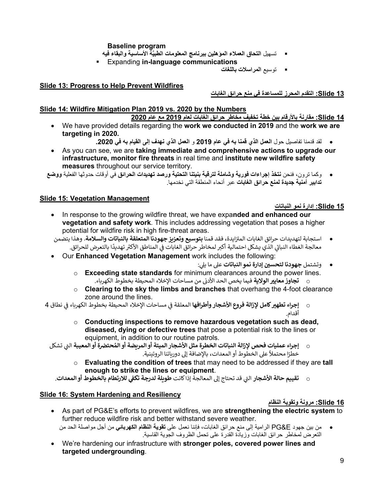#### **Baseline program**

- تسهيل ا**لتحاق الع***م***لاء المؤهلين ببرنامج المعلومات الطب**يَّة الأساسية والبقاء فيه
- Expanding **in-language communications**
	- توسیع **المراسلات باللغات**

#### **Slide 13: Progress to Help Prevent Wildfires**

#### **13 Slide: التقدم المحرز للمساعدة في منع حرائق الغابات**

#### **Slide 14: Wildfire Mitigation Plan 2019 vs. 2020 by the Numbers**

#### **14 Slide: مقارنة بالأرقام بین خطة تخفیف مخاطر حرائق الغابات لعام 2019 مع عام 2020**

- We have provided details regarding the **work we conducted in 2019** and the **work we are targeting in 2020.**
	- لقد قدمنا تفاصیل حول **العمل الذي قمنا بھ في عام 2019** و **العمل الذي نھدف إلى القیام بھ في .2020**
- As you can see, we are **taking immediate and comprehensive actions to upgrade our infrastructure, monitor fire threats** in real time and **institute new wildfire safety measures** throughout our service territory.

• وكما ترون، فنحن **نتخذ إجراءات فوریة وشاملة لترقیة بنیتنا التحتیة ورصد تھدیدات الحرائق** في أوقات حدوثھا الفعلیة **ووضع تدابیر أمنیة جدیدة لمنع حرائق الغابات** عبر أنحاء المنطقة التي نخدمھا .

## **Slide 15: Vegetation Management**

#### **15 Slide: إدارة نمو النباتات**

- In response to the growing wildfire threat, we have expa**nded and enhanced our vegetation and safety work**. This includes addressing vegetation that poses a higher potential for wildfire risk in high fire-threat areas.
- استجابة لتهديدات حرائق الغابات المتزايدة، فقد قمنا **بتوسيع وتعزيز جهودنا المتعلقة بالنباتات والسلامة**. وهذا يتضمن �.<br>معالجة الغطاء النباتي الذي يشكل احتمالية أكبر لمخاطر حرائق الغابات في المناطق الأكثر تهديدًا بالتعرض للحرائق.
- Our **Enhanced Vegetation Management** work includes the following:
	- : <sup>ي</sup> ع� ما �� **<sup>ي</sup> جهودنا لتحسن <sup>ن</sup>** و�شتمل **إدارة نمو النباتات**
	- o **Exceeding state standards** for minimum clearances around the power lines. ف�ما �خص الحد الأدى . <sup>ف</sup> <sup>o</sup> **<sup>ي</sup> تجاوز معاي� الولا�ة** من مساحات الإخلاء المح�طة بخطوط ال�ه��اء
	- o **Clearing to the sky the limbs and branches** that overhang the 4-foot clearance zone around the lines.
- ي o **ي إجراء تطه� كامل لإزالة فروع الأشجار وأطرافها** نطاق ي مساحات الإخلاء المح�طة بخطوط ال�ه��اء � المعلقة � <sup>4</sup> <sup>ف</sup> ف أقدام.
	- o **Conducting inspections to remove hazardous vegetation such as dead, diseased, dying or defective trees** that pose a potential risk to the lines or equipment, in addition to our routine patrols.
	- ت اليي **إجراء عمل�ات فحص لإزالة النباتات الخطرة مثل الأشجار الميتة أو الم��ضة أو الم** �شكل **ُ ضحت�** <sup>o</sup> **ة أو المعيبة** ً ع� الخطوط أو المعدات، بالإضافة إ� دور�اتنا الروتين�ة خطر . � ا محتم�
		- o **Evaluating the condition of trees** that may need to be addressed if they are **tall enough to strike the lines or equipment**.

**<sup>ي</sup>** ال **للارتطام بالخطوط أو المعدات** تىي <sup>o</sup> **تقي�م حالة الأشجار** قد تحتاج إ� المعالجة إذا كانت **ط��لة لدرجة تك�** . **<sup>ف</sup>**

## **Slide 16: System Hardening and Resiliency**

## **16 Slide: مرونة وتقویة النظام**

- As part of PG&E's efforts to prevent wildfires, we are **strengthening the electric system** to further reduce wildfire risk and better withstand severe weather. • من بین جھود E&PG الرامیة إلى منع حرائق الغابات، فإننا نعمل على **تقویة النظام الكھربائي** من أجل مواصلة الحد من
	- التعرض لمخاطر حرائق الغابات وزیادة القدرة على تحمل الظروف الجویة القاسیة .
- We're hardening our infrastructure with **stronger poles, covered power lines and targeted undergrounding**.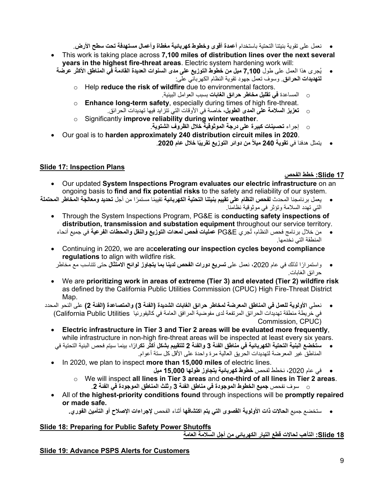- نعمل على تقویة بنیتنا التحتیة باستخدام **أعمدة أقوى وخطوط كھربائیة مغطاة وأعمال مستھدفة تحت سطح الأرض**.
- This work is taking place across **7,100 miles of distribution lines over the next several years in the highest fire-threat areas**. Electric system hardening work will:
	- ُجرى ھذا العمل على طول **7,100 میل من خطوط التوزیع على مدى السنوات العدیدة القادمة في المناطق الأكثر عرضة**  ی **لتھدیدات الحرائق**. وسوف تعمل جھود تقویة النظام الكھربائي على :
		- o Help **reduce the risk of wildfire** due to environmental factors.
			- o المساعدة **في تقلیل مخاطر حرائق الغابات** بسبب العوامل البیئیة.
		- o **Enhance long-term safety**, especially during times of high fire-threat. o **تعزیز السلامة على المدى الطویل**، خاصة في الأوقات التي تتزاید فیھا تھدیدات الحرائق.
		- o Significantly **improve reliability during winter weather**.
			- o إجراء **تحسینات كبیرة على درجة الموثوقیة خلال الظروف الشتویة**.
- Our goal is to **harden approximately 240 distribution circuit miles in 2020**.
	- **ًا خلال عام** .**2020 ً من دوائر التوزیع تقریب** یتمثل ھدفنا في **تقویة 240 میلا**

## **Slide 17: Inspection Plans**

## **17 Slide: خطط الفحص**

- Our updated **System Inspections Program evaluates our electric infrastructure** on an ongoing basis to **find and fix potential risks** to the safety and reliability of our system.
- یعمل برنامجنا المحدث **لفحص النظام على تقییم بنیتنا التحتیة الكھربائیة** ً تقییما ً مستمرا من أجل **تحدید ومعالجة المخاطر المحتملة** التي تھدد السلامة وتؤثر في موثوقیة نظامنا.
	- Through the System Inspections Program, PG&E is **conducting safety inspections of distribution, transmission and substation equipment** throughout our service territory.
		- ُجري E&PG **عملیات فحص لمعدات التوزیع والنقل والمحطات الفرعیة** في جمیع أنحاء من خلال برنامج فحص النظام، ت المنطقة التي نخدمھا.
	- Continuing in 2020, we are ac**celerating our inspection cycles beyond compliance regulations** to align with wildfire risk.
	- ً واستمرارا لذلك في عام ،2020 نعمل على **تسریع دورات الفحص لدینا بما یتجاوز لوائح الامتثال** حتى تتناسب مع مخاطر حرائق الغابات.
	- We are **prioritizing work in areas of extreme (Tier 3) and elevated (Tier 2) wildfire risk** as defined by the California Public Utilities Commission (CPUC) High Fire-Threat District Map.
	- نعطي **الأولویة للعمل في المناطق المعرضة لمخاطر حرائق الغابات الشدیدة (الفئة 3) والمتصاعدة (الفئة 2)** على النحو المحدد في خریطة منطقة تھدیدات الحرائق المرتفعة لدى مفوضیة المرافق العامة في كالیفورنیا Utilities Public California( Commission, CPUC)
		- **Electric infrastructure in Tier 3 and Tier 2 areas will be evaluated more frequently**, while infrastructure in non-high fire-threat areas will be inspected at least every six years.
		- **ستخضع البنیة التحتیة الكھربائیة في مناطق الفئة 3 والفئة 2 ً للتقییم بشكل أكثر تكرارا**، بینما سیتم فحص البنیة التحتیة في المناطق غیر المعرضة لتھدیدات الحریق العالیة مرة واحدة على الأقل كل ستة أعوام.
		- In 2020, we plan to inspect **more than 15,000 miles** of electric lines.
			- في عام ،2020 نخطط لفحص **خطوط كھربائیة یتجاوز طولھا 15,000 میل**
			- o We will inspect **all lines in Tier 3 areas** and **one-third of all lines in Tier 2 areas**. o سوف نفحص **جمیع الخطوط الموجودة في مناطق الفئة 3** و **ثلث المناطق الموجودة في الفئة** .**2**
		- All of **the highest-priority conditions found** through inspections will be **promptly repaired or made safe.** 
			- ستخضع جمیع **الحالات ذات الأولویة القصوى التي یتم اكتشافھا** أثناء الفحص **لإجراءات الإصلاح أو التأمین الفوري.**

## **Slide 18: Preparing for Public Safety Power Shutoffs**

**18 Slide: التأھب لحالات قطع التیار الكھربائي من أجل السلامة العامة**

## **Slide 19: Advance PSPS Alerts for Customers**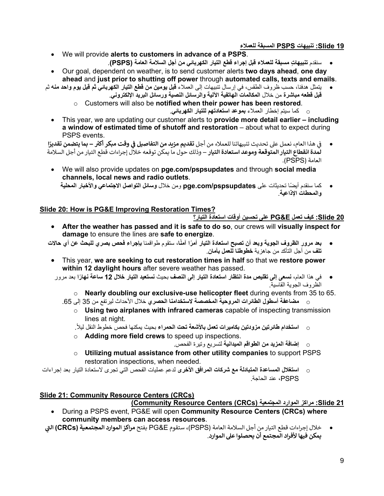## **19 Slide: تنبیھات PSPS المسبقة للعملاء**

- We will provide **alerts to customers in advance of a PSPS**. • سنقدم **ٍ تنبیھات مسبقة للعملاء قبل إجراء قطع التیار الكھربائي من أجل السلامة العامة (PSPS(**.
- Our goal, dependent on weather, is to send customer alerts **two days ahead**, **one day ahead** and **just prior to shutting off power** through **automated calls, texts and emails**.
- یتمثل ھدفنا، حسب ظروف الطقس، في إرسال تنبیھات إلى العملاء **قبل یومین من قطع التیار الكھربائي ثم قبل یوم واحد منھ** ثم **قبل قطعھ مباشرة** من خلال **المكالمات الھاتفیة الآلیة والرسائل النصیة ورسائل البرید الإلكتروني** .
	- o Customers will also be **notified when their power has been restored**.
		- o كما سیتم إخطار العملاء **بموعد استعادتھم للتیار الكھربائي** .
	- This year, we are updating our customer alerts to **provide more detail earlier – including a window of estimated time of shutoff and restoration** – about what to expect during PSPS events.

ي • هذا العام، نعمل ع� تحد�ث تنبيهاتنا للعملاء من أجل **ي وقت مبكر أ�� �** � **تقد�م م��د من التفاص�ل � – <sup>ا</sup><sup>ف</sup> بما يتضمن تقدير** ف **�لمدة انقطاع الت�ار المتوقعة وموعد استعادة الت�ار** – وذلك حول ما �مكن توقعه خلال إجراءات قطع الت�ار من أجل السلامة العامة (PSPS(.

- We will also provide updates on **pge.com/pspsupdates** and through **social media channels, local news and radio outlets**.
	- ً كما سنقدم أیضا تحدیثات على **pspsupdates/com.pge** ومن خلال **وسائل التواصل الاجتماعي والأخبار المحلیة والمحطات الإذاعیة**.

## **Slide 20: How is PG&E Improving Restoration Times?**

## **20 Slide: كیف تعمل E&PG على تحسین أوقات استعادة التیار؟**

- **After the weather has passed and it is safe to do so**, our crews will **visually inspect for damage** to ensure the lines are **safe to energize**.
- بعد مرورِ الظروف الجوية وبعد أن تصبح استعادة التيار أمرًا آمنًا، ستقوم طواقمنا بإجراء فحص بصري للبحث عن أي حالات **تلف** من أجل التأكد من جاھزیة **خطوطنا للعمل بأمان** .
- This year, **we are seeking to cut restoration times in half** so that we **restore power within 12 daylight hours** after severe weather has passed.
- في ھذا العام، **نسعى إلى تقلیص مدة انتظار استعادة التیار إلى النصف** بحیث **نستعید التیار خلال 12 ً ساعة نھارا** بعد مرور الظروف الجویة القاسیة.
	- o **Nearly doubling our exclusive-use helicopter fleet** during events from 35 to 65.
	- o **مضاعفة أسطول الطائرات المروحیة المخصصة لاستخدامنا الحصري** خلال الأحداث لیرتفع من 35 إلى .65
		- o **Using two airplanes with infrared cameras** capable of inspecting transmission lines at night.

.ً o **استخدام طائرتین مزودتین بكامیرات تعمل بالأشعة تحت الحمراء** بحیث یمكنھا فحص خطوط النقل لیلا

- o **Adding more field crews** to speed up inspections.
	- o **إضافة المزید من الطواقم المیدانیة** لتسریع وتیرة الفحص .
- o **Utilizing mutual assistance from other utility companies** to support PSPS restoration inspections, when needed.
- o **استغلال المساعدة المتبادلة مع شركات المرافق الأخرى** لدعم عملیات الفحص التي تجرى لاستعادة التیار بعد إجراءات PSPS، عند الحاجة .

# **Slide 21: Community Resource Centers (CRCs)**

## **(Community Resource Centers (CRCs) المجتمعیة الموارد مراكز :Slide 21**

- During a PSPS event, PG&E will open **Community Resource Centers (CRCs) where community members can access resources**.
- **ت اليي** • خلال إجراءات قطع الت�ار من أجل السلامة العامة (PSPS(، ستقوم E&PG بفتح **مرا�ز الموارد المجتمع�ة (CRCs ( �مكن فيها لأفراد المجتمع أن �حصلوا ع� الموارد**.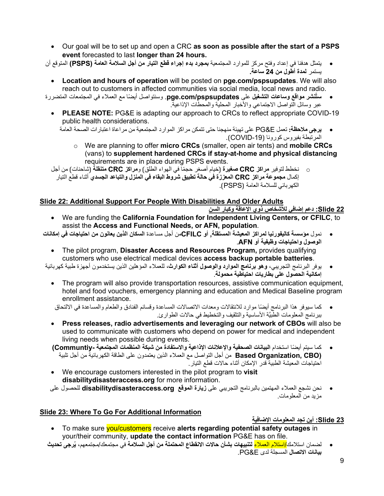- Our goal will be to set up and open a CRC **as soon as possible after the start of a PSPS event** forecasted to last **longer than 24 hours.**
- یتمثل ھدفنا في إعداد وفتح مركز للموارد المجتمعیة **بمجرد بدء إجراء قطع التیار من أجل السلامة العامة (PSPS (**المتوقع أن یستمر **لمدة أطول من 24 ساعة.** 
	- **Location and hours of operation** will be posted on **pge.com/pspsupdates**. We will also reach out to customers in affected communities via social media, local news and radio.

**ُنشر مواقع وساعات التشغیل** على **pspsupdates/com.pge**. ً وسنتواصل أیضا مع العملاء في المجتمعات المتضررة • **ست** عبر وسائل التواصل الاجتماعي والأخبار المحلیة والمحطات الإذاعیة.

- **PLEASE NOTE:** PG&E is adapting our approach to CRCs to reflect appropriate COVID-19 public health considerations.
	- **یرجى ملاحظة:** تعمل E&PG على تھیئة منھجنا حتى تتمكن مراكز الموارد المجتمعیة من مراعاة اعتبارات الصحة العامة المرتبطة بفیروس كورونا (COVID-19).
		- o We are planning to offer **micro CRCs** (smaller, open air tents) and **mobile CRCs** (vans) to **supplement hardened CRCs if stay-at-home and physical distancing** requirements are in place during PSPS events.
- o نخطط لتوفیر **مراكز CRC صغیرة** ( ً خیام أصغر حجما في الھواء الطلق) و**مراكز CRC متنقلة** (شاحنات ) من أجل إكمال **مجموعة مراكز CRC المعززة في حالة تطبیق شروط البقاء في المنزل والتباعد الجسدي** أثناء قطع التیار الكھربائي للسلامة العامة (PSPS(.

## **Slide 22: Additional Support For People With Disabilities And Older Adults**

#### **22 Slide: دعم إضافي للأشخاص ذوي الإعاقة وكبار السن**

- We are funding the **California Foundation for Independent Living Centers, or CFILC**, to assist the **Access and Functional Needs, or AFN, population**.
- نمول **مؤسسة كالیفورنیا لمراكز المعیشة المستقلة , أو CFILC**من أجل مساعدة **السكان الذین یعانون من احتیاجات في إمكانات الوصول واحتیاجات وظیفیة أو AFN**.
	- The pilot program, **Disaster Access and Resources Program,** provides qualifying customers who use electrical medical devices **access backup portable batteries**.
- یوفر البرنامج التجریبي، **وھو برنامج الموارد والوصول أثناء الكوارث،** للعملاء المؤھلین الذین یستخدمون أجھزة طبیة كھربائیة **إمكانیة الحصول على بطاریات احتیاطیة محمولة** .
	- The program will also provide transportation resources, assistive communication equipment, hotel and food vouchers, emergency planning and education and Medical Baseline program enrollment assistance.
	- ً كما سیوفر ھذا البرنامج أیضا موارد للانتقالات ومعدات الاتصالات المساعدة وقسائم الفنادق والطعام والمساعدة في الالتحاق َّ ببرنامج المعلومات الطبیة الأساسیة والتثقیف والتخطیط في حالات الطوارئ .
	- **Press releases, radio advertisements and leveraging our network of CBOs** will also be used to communicate with customers who depend on power for medical and independent living needs when possible during events.
	- ً كما سیتم أیضا استخدام **البیانات الصحفیة والإعلانات الإذاعیة والاستفادة من شبكة المنظمات المجتمعیة -Communtiy( (CBO ,Organization Based** من أجل التواصل مع العملاء الذین یعتمدون على الطاقة الكھربائیة من أجل تلبیة احتیاجات المعیشة الطبیة قدر الإمكان أثناء حالات قطع التیار.
	- We encourage customers interested in the pilot program to **visit disabilitydisasteraccess.org** for more information.
	- نحن نشجع العملاء المھتمین بالبرنامج التجریبي على **زیارة الموقع org.disabilitydisasteraccess** للحصول على مزید من المعلومات .

## **Slide 23: Where To Go For Additional Information**

## **23 Slide: أین تجد المعلومات الإضافیة**

- To make sure you/customers receive **alerts regarding potential safety outages** in your/their community, **update the contact information** PG&E has on file.
- **ُرجى تحدیث**  لضمان استلامك/استلام العملاء **لتنبیھات بشأن حالات الانقطاع المحتملة من أجل السلامة** في مجتمعك/مجتمعھم، **ی بیانات الاتصال** المسجلة لدى E&PG.